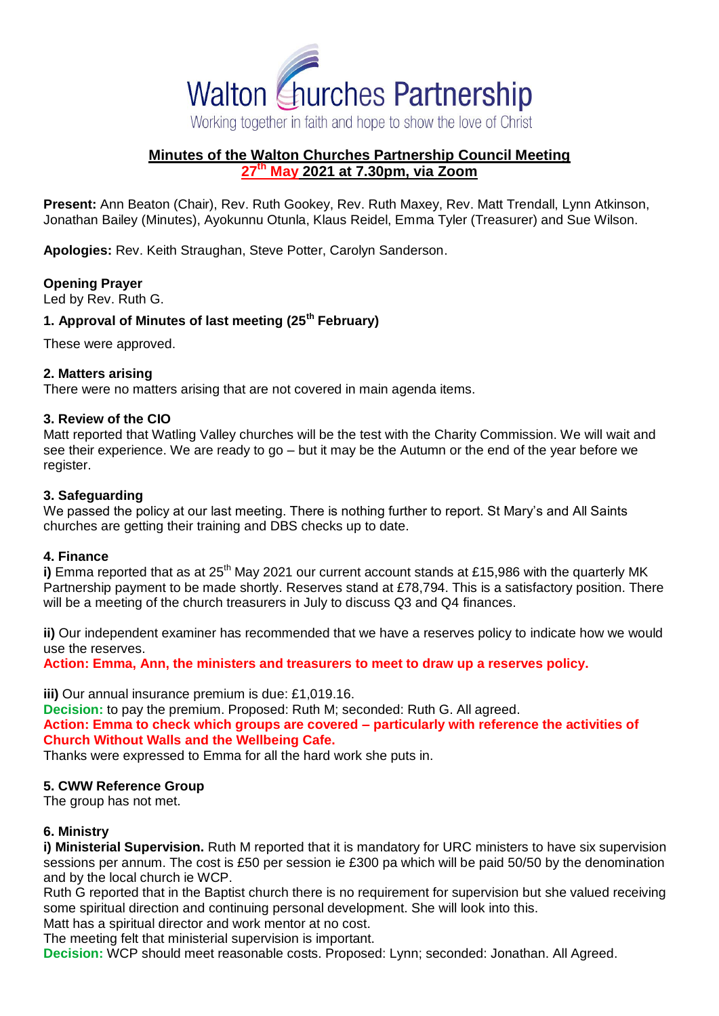

# **Minutes of the Walton Churches Partnership Council Meeting 27th May 2021 at 7.30pm, via Zoom**

**Present:** Ann Beaton (Chair), Rev. Ruth Gookey, Rev. Ruth Maxey, Rev. Matt Trendall, Lynn Atkinson, Jonathan Bailey (Minutes), Ayokunnu Otunla, Klaus Reidel, Emma Tyler (Treasurer) and Sue Wilson.

**Apologies:** Rev. Keith Straughan, Steve Potter, Carolyn Sanderson.

# **Opening Prayer**

Led by Rev. Ruth G.

## **1. Approval of Minutes of last meeting (25th February)**

These were approved.

## **2. Matters arising**

There were no matters arising that are not covered in main agenda items.

## **3. Review of the CIO**

Matt reported that Watling Valley churches will be the test with the Charity Commission. We will wait and see their experience. We are ready to go – but it may be the Autumn or the end of the year before we register.

## **3. Safeguarding**

We passed the policy at our last meeting. There is nothing further to report. St Mary's and All Saints churches are getting their training and DBS checks up to date.

#### **4. Finance**

**i)** Emma reported that as at 25<sup>th</sup> May 2021 our current account stands at £15,986 with the quarterly MK Partnership payment to be made shortly. Reserves stand at £78,794. This is a satisfactory position. There will be a meeting of the church treasurers in July to discuss Q3 and Q4 finances.

**ii)** Our independent examiner has recommended that we have a reserves policy to indicate how we would use the reserves.

**Action: Emma, Ann, the ministers and treasurers to meet to draw up a reserves policy.**

**iii)** Our annual insurance premium is due: £1,019.16.

**Decision:** to pay the premium. Proposed: Ruth M; seconded: Ruth G. All agreed. **Action: Emma to check which groups are covered – particularly with reference the activities of Church Without Walls and the Wellbeing Cafe.**

Thanks were expressed to Emma for all the hard work she puts in.

# **5. CWW Reference Group**

The group has not met.

# **6. Ministry**

**i) Ministerial Supervision.** Ruth M reported that it is mandatory for URC ministers to have six supervision sessions per annum. The cost is £50 per session ie £300 pa which will be paid 50/50 by the denomination and by the local church ie WCP.

Ruth G reported that in the Baptist church there is no requirement for supervision but she valued receiving some spiritual direction and continuing personal development. She will look into this.

Matt has a spiritual director and work mentor at no cost.

The meeting felt that ministerial supervision is important.

**Decision:** WCP should meet reasonable costs. Proposed: Lynn; seconded: Jonathan. All Agreed.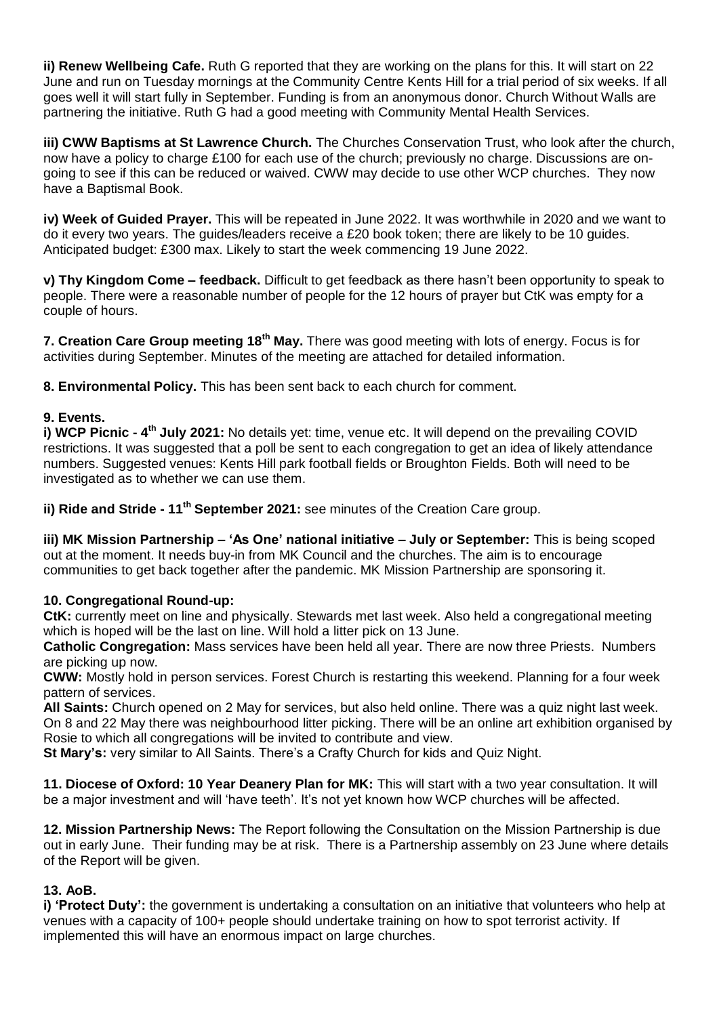**ii) Renew Wellbeing Cafe.** Ruth G reported that they are working on the plans for this. It will start on 22 June and run on Tuesday mornings at the Community Centre Kents Hill for a trial period of six weeks. If all goes well it will start fully in September. Funding is from an anonymous donor. Church Without Walls are partnering the initiative. Ruth G had a good meeting with Community Mental Health Services.

**iii) CWW Baptisms at St Lawrence Church.** The Churches Conservation Trust, who look after the church, now have a policy to charge £100 for each use of the church; previously no charge. Discussions are ongoing to see if this can be reduced or waived. CWW may decide to use other WCP churches. They now have a Baptismal Book.

**iv) Week of Guided Prayer.** This will be repeated in June 2022. It was worthwhile in 2020 and we want to do it every two years. The guides/leaders receive a £20 book token; there are likely to be 10 guides. Anticipated budget: £300 max. Likely to start the week commencing 19 June 2022.

**v) Thy Kingdom Come – feedback.** Difficult to get feedback as there hasn't been opportunity to speak to people. There were a reasonable number of people for the 12 hours of prayer but CtK was empty for a couple of hours.

**7. Creation Care Group meeting 18th May.** There was good meeting with lots of energy. Focus is for activities during September. Minutes of the meeting are attached for detailed information.

**8. Environmental Policy.** This has been sent back to each church for comment.

# **9. Events.**

**i) WCP Picnic - 4<sup>th</sup> July 2021:** No details yet: time, venue etc. It will depend on the prevailing COVID restrictions. It was suggested that a poll be sent to each congregation to get an idea of likely attendance numbers. Suggested venues: Kents Hill park football fields or Broughton Fields. Both will need to be investigated as to whether we can use them.

**ii) Ride and Stride - 11th September 2021:** see minutes of the Creation Care group.

**iii) MK Mission Partnership – 'As One' national initiative – July or September:** This is being scoped out at the moment. It needs buy-in from MK Council and the churches. The aim is to encourage communities to get back together after the pandemic. MK Mission Partnership are sponsoring it.

# **10. Congregational Round-up:**

**CtK:** currently meet on line and physically. Stewards met last week. Also held a congregational meeting which is hoped will be the last on line. Will hold a litter pick on 13 June.

**Catholic Congregation:** Mass services have been held all year. There are now three Priests. Numbers are picking up now.

**CWW:** Mostly hold in person services. Forest Church is restarting this weekend. Planning for a four week pattern of services.

**All Saints:** Church opened on 2 May for services, but also held online. There was a quiz night last week. On 8 and 22 May there was neighbourhood litter picking. There will be an online art exhibition organised by Rosie to which all congregations will be invited to contribute and view.

**St Mary's:** very similar to All Saints. There's a Crafty Church for kids and Quiz Night.

**11. Diocese of Oxford: 10 Year Deanery Plan for MK:** This will start with a two year consultation. It will be a major investment and will 'have teeth'. It's not yet known how WCP churches will be affected.

**12. Mission Partnership News:** The Report following the Consultation on the Mission Partnership is due out in early June. Their funding may be at risk. There is a Partnership assembly on 23 June where details of the Report will be given.

# **13. AoB.**

**i) 'Protect Duty':** the government is undertaking a consultation on an initiative that volunteers who help at venues with a capacity of 100+ people should undertake training on how to spot terrorist activity. If implemented this will have an enormous impact on large churches.